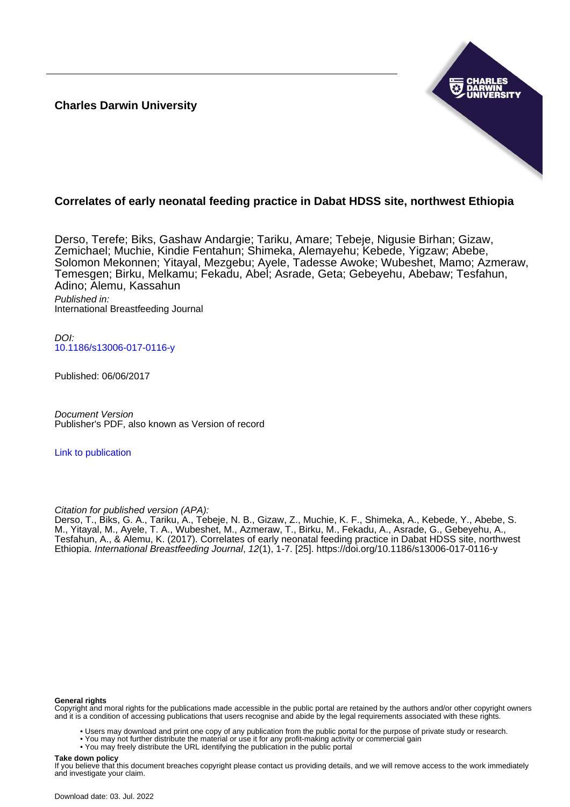**Charles Darwin University**



# **Correlates of early neonatal feeding practice in Dabat HDSS site, northwest Ethiopia**

Derso, Terefe; Biks, Gashaw Andargie; Tariku, Amare; Tebeje, Nigusie Birhan; Gizaw, Zemichael; Muchie, Kindie Fentahun; Shimeka, Alemayehu; Kebede, Yigzaw; Abebe, Solomon Mekonnen; Yitayal, Mezgebu; Ayele, Tadesse Awoke; Wubeshet, Mamo; Azmeraw, Temesgen; Birku, Melkamu; Fekadu, Abel; Asrade, Geta; Gebeyehu, Abebaw; Tesfahun, Adino; Alemu, Kassahun Published in:

International Breastfeeding Journal

DOI: [10.1186/s13006-017-0116-y](https://doi.org/10.1186/s13006-017-0116-y)

Published: 06/06/2017

Document Version Publisher's PDF, also known as Version of record

[Link to publication](https://researchers.cdu.edu.au/en/publications/4568e6cf-cffd-4e02-818d-bd597cb0dc93)

Citation for published version (APA):

Derso, T., Biks, G. A., Tariku, A., Tebeje, N. B., Gizaw, Z., Muchie, K. F., Shimeka, A., Kebede, Y., Abebe, S. M., Yitayal, M., Ayele, T. A., Wubeshet, M., Azmeraw, T., Birku, M., Fekadu, A., Asrade, G., Gebeyehu, A., Tesfahun, A., & Alemu, K. (2017). Correlates of early neonatal feeding practice in Dabat HDSS site, northwest Ethiopia. International Breastfeeding Journal, 12(1), 1-7. [25].<https://doi.org/10.1186/s13006-017-0116-y>

#### **General rights**

Copyright and moral rights for the publications made accessible in the public portal are retained by the authors and/or other copyright owners and it is a condition of accessing publications that users recognise and abide by the legal requirements associated with these rights.

• Users may download and print one copy of any publication from the public portal for the purpose of private study or research.

- You may not further distribute the material or use it for any profit-making activity or commercial gain
	- You may freely distribute the URL identifying the publication in the public portal

#### **Take down policy**

If you believe that this document breaches copyright please contact us providing details, and we will remove access to the work immediately and investigate your claim.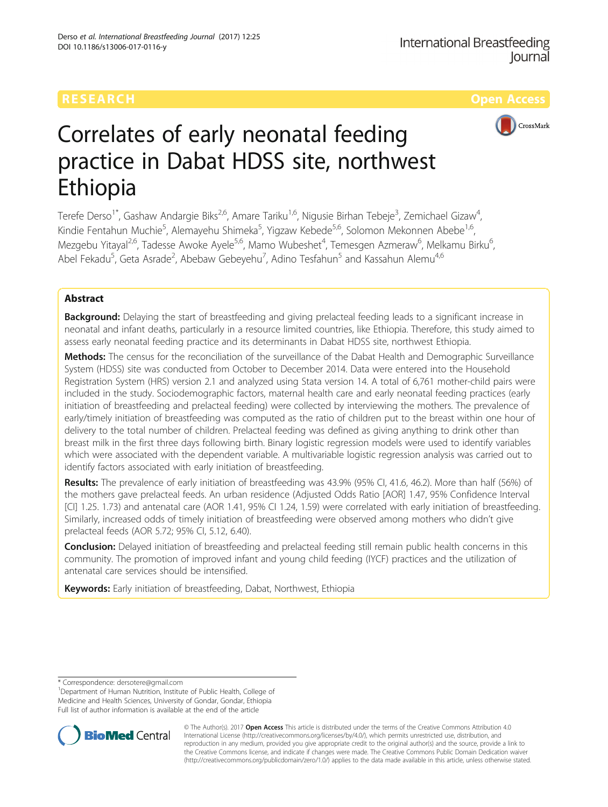# **RESEARCH CHILD CONTROL** CONTROL CONTROL CONTROL CONTROL CONTROL CONTROL CONTROL CONTROL CONTROL CONTROL CONTROL CONTROL CONTROL CONTROL CONTROL CONTROL CONTROL CONTROL CONTROL CONTROL CONTROL CONTROL CONTROL CONTROL CONTR



# Correlates of early neonatal feeding practice in Dabat HDSS site, northwest Ethiopia

Terefe Derso<sup>1\*</sup>, Gashaw Andargie Biks<sup>2,6</sup>, Amare Tariku<sup>1,6</sup>, Nigusie Birhan Tebeje<sup>3</sup>, Zemichael Gizaw<sup>4</sup> , Kindie Fentahun Muchie<sup>5</sup>, Alemayehu Shimeka<sup>5</sup>, Yigzaw Kebede<sup>5,6</sup>, Solomon Mekonnen Abebe<sup>1,6</sup>, Mezgebu Yitayal<sup>2,6</sup>, Tadesse Awoke Ayele<sup>5,6</sup>, Mamo Wubeshet<sup>4</sup>, Temesgen Azmeraw<sup>6</sup>, Melkamu Birku<sup>6</sup> , Abel Fekadu<sup>5</sup>, Geta Asrade<sup>2</sup>, Abebaw Gebeyehu<sup>7</sup>, Adino Tesfahun<sup>5</sup> and Kassahun Alemu<sup>4,6</sup>

# Abstract

**Background:** Delaying the start of breastfeeding and giving prelacteal feeding leads to a significant increase in neonatal and infant deaths, particularly in a resource limited countries, like Ethiopia. Therefore, this study aimed to assess early neonatal feeding practice and its determinants in Dabat HDSS site, northwest Ethiopia.

Methods: The census for the reconciliation of the surveillance of the Dabat Health and Demographic Surveillance System (HDSS) site was conducted from October to December 2014. Data were entered into the Household Registration System (HRS) version 2.1 and analyzed using Stata version 14. A total of 6,761 mother-child pairs were included in the study. Sociodemographic factors, maternal health care and early neonatal feeding practices (early initiation of breastfeeding and prelacteal feeding) were collected by interviewing the mothers. The prevalence of early/timely initiation of breastfeeding was computed as the ratio of children put to the breast within one hour of delivery to the total number of children. Prelacteal feeding was defined as giving anything to drink other than breast milk in the first three days following birth. Binary logistic regression models were used to identify variables which were associated with the dependent variable. A multivariable logistic regression analysis was carried out to identify factors associated with early initiation of breastfeeding.

Results: The prevalence of early initiation of breastfeeding was 43.9% (95% CI, 41.6, 46.2). More than half (56%) of the mothers gave prelacteal feeds. An urban residence (Adjusted Odds Ratio [AOR] 1.47, 95% Confidence Interval [CI] 1.25. 1.73) and antenatal care (AOR 1.41, 95% CI 1.24, 1.59) were correlated with early initiation of breastfeeding. Similarly, increased odds of timely initiation of breastfeeding were observed among mothers who didn't give prelacteal feeds (AOR 5.72; 95% CI, 5.12, 6.40).

Conclusion: Delayed initiation of breastfeeding and prelacteal feeding still remain public health concerns in this community. The promotion of improved infant and young child feeding (IYCF) practices and the utilization of antenatal care services should be intensified.

Keywords: Early initiation of breastfeeding, Dabat, Northwest, Ethiopia

<sup>&</sup>lt;sup>1</sup>Department of Human Nutrition, Institute of Public Health, College of Medicine and Health Sciences, University of Gondar, Gondar, Ethiopia Full list of author information is available at the end of the article



© The Author(s). 2017 **Open Access** This article is distributed under the terms of the Creative Commons Attribution 4.0 International License [\(http://creativecommons.org/licenses/by/4.0/](http://creativecommons.org/licenses/by/4.0/)), which permits unrestricted use, distribution, and reproduction in any medium, provided you give appropriate credit to the original author(s) and the source, provide a link to the Creative Commons license, and indicate if changes were made. The Creative Commons Public Domain Dedication waiver [\(http://creativecommons.org/publicdomain/zero/1.0/](http://creativecommons.org/publicdomain/zero/1.0/)) applies to the data made available in this article, unless otherwise stated.

<sup>\*</sup> Correspondence: [dersotere@gmail.com](mailto:dersotere@gmail.com) <sup>1</sup>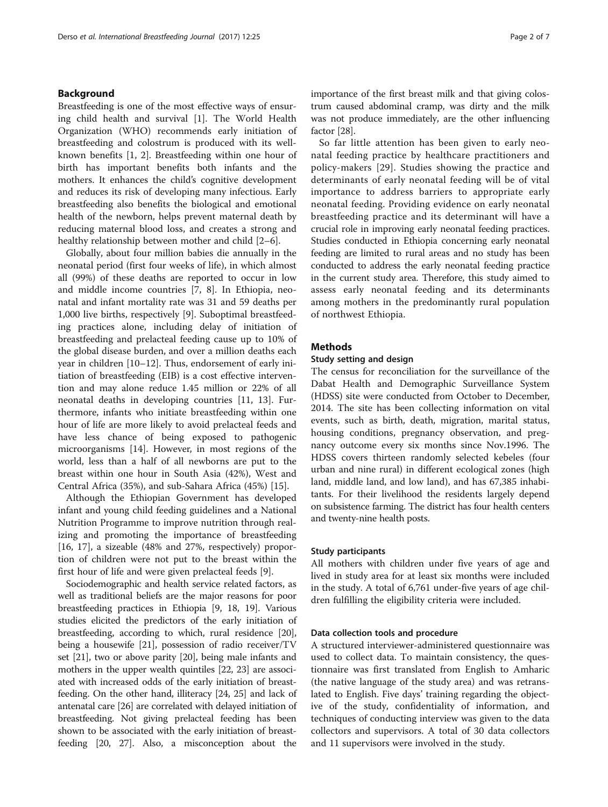# Background

Breastfeeding is one of the most effective ways of ensuring child health and survival [\[1\]](#page-6-0). The World Health Organization (WHO) recommends early initiation of breastfeeding and colostrum is produced with its wellknown benefits [\[1, 2\]](#page-6-0). Breastfeeding within one hour of birth has important benefits both infants and the mothers. It enhances the child's cognitive development and reduces its risk of developing many infectious. Early breastfeeding also benefits the biological and emotional health of the newborn, helps prevent maternal death by reducing maternal blood loss, and creates a strong and healthy relationship between mother and child [[2](#page-6-0)–[6\]](#page-6-0).

Globally, about four million babies die annually in the neonatal period (first four weeks of life), in which almost all (99%) of these deaths are reported to occur in low and middle income countries [\[7](#page-6-0), [8](#page-6-0)]. In Ethiopia, neonatal and infant mortality rate was 31 and 59 deaths per 1,000 live births, respectively [\[9](#page-6-0)]. Suboptimal breastfeeding practices alone, including delay of initiation of breastfeeding and prelacteal feeding cause up to 10% of the global disease burden, and over a million deaths each year in children [\[10](#page-6-0)–[12\]](#page-6-0). Thus, endorsement of early initiation of breastfeeding (EIB) is a cost effective intervention and may alone reduce 1.45 million or 22% of all neonatal deaths in developing countries [[11, 13\]](#page-6-0). Furthermore, infants who initiate breastfeeding within one hour of life are more likely to avoid prelacteal feeds and have less chance of being exposed to pathogenic microorganisms [\[14\]](#page-6-0). However, in most regions of the world, less than a half of all newborns are put to the breast within one hour in South Asia (42%), West and Central Africa (35%), and sub-Sahara Africa (45%) [\[15](#page-6-0)].

Although the Ethiopian Government has developed infant and young child feeding guidelines and a National Nutrition Programme to improve nutrition through realizing and promoting the importance of breastfeeding [[16, 17\]](#page-6-0), a sizeable (48% and 27%, respectively) proportion of children were not put to the breast within the first hour of life and were given prelacteal feeds [[9\]](#page-6-0).

Sociodemographic and health service related factors, as well as traditional beliefs are the major reasons for poor breastfeeding practices in Ethiopia [[9](#page-6-0), [18](#page-6-0), [19\]](#page-6-0). Various studies elicited the predictors of the early initiation of breastfeeding, according to which, rural residence [[20](#page-6-0)], being a housewife [\[21\]](#page-6-0), possession of radio receiver/TV set [\[21\]](#page-6-0), two or above parity [\[20\]](#page-6-0), being male infants and mothers in the upper wealth quintiles [[22](#page-6-0), [23](#page-6-0)] are associated with increased odds of the early initiation of breastfeeding. On the other hand, illiteracy [[24,](#page-6-0) [25\]](#page-7-0) and lack of antenatal care [\[26\]](#page-7-0) are correlated with delayed initiation of breastfeeding. Not giving prelacteal feeding has been shown to be associated with the early initiation of breastfeeding [[20](#page-6-0), [27](#page-7-0)]. Also, a misconception about the

importance of the first breast milk and that giving colostrum caused abdominal cramp, was dirty and the milk was not produce immediately, are the other influencing factor [[28](#page-7-0)].

So far little attention has been given to early neonatal feeding practice by healthcare practitioners and policy-makers [[29](#page-7-0)]. Studies showing the practice and determinants of early neonatal feeding will be of vital importance to address barriers to appropriate early neonatal feeding. Providing evidence on early neonatal breastfeeding practice and its determinant will have a crucial role in improving early neonatal feeding practices. Studies conducted in Ethiopia concerning early neonatal feeding are limited to rural areas and no study has been conducted to address the early neonatal feeding practice in the current study area. Therefore, this study aimed to assess early neonatal feeding and its determinants among mothers in the predominantly rural population of northwest Ethiopia.

## **Methods**

# Study setting and design

The census for reconciliation for the surveillance of the Dabat Health and Demographic Surveillance System (HDSS) site were conducted from October to December, 2014. The site has been collecting information on vital events, such as birth, death, migration, marital status, housing conditions, pregnancy observation, and pregnancy outcome every six months since Nov.1996. The HDSS covers thirteen randomly selected kebeles (four urban and nine rural) in different ecological zones (high land, middle land, and low land), and has 67,385 inhabitants. For their livelihood the residents largely depend on subsistence farming. The district has four health centers and twenty-nine health posts.

#### Study participants

All mothers with children under five years of age and lived in study area for at least six months were included in the study. A total of 6,761 under-five years of age children fulfilling the eligibility criteria were included.

#### Data collection tools and procedure

A structured interviewer-administered questionnaire was used to collect data. To maintain consistency, the questionnaire was first translated from English to Amharic (the native language of the study area) and was retranslated to English. Five days' training regarding the objective of the study, confidentiality of information, and techniques of conducting interview was given to the data collectors and supervisors. A total of 30 data collectors and 11 supervisors were involved in the study.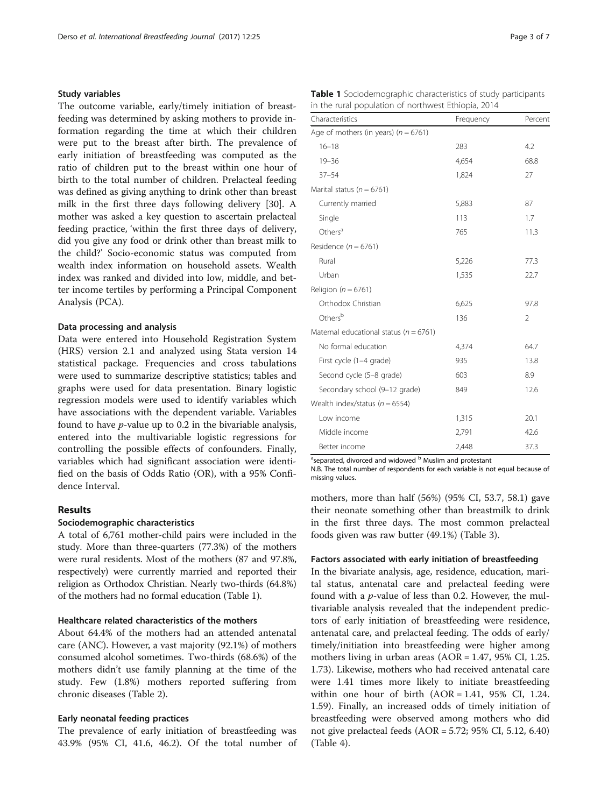## Study variables

The outcome variable, early/timely initiation of breastfeeding was determined by asking mothers to provide information regarding the time at which their children were put to the breast after birth. The prevalence of early initiation of breastfeeding was computed as the ratio of children put to the breast within one hour of birth to the total number of children. Prelacteal feeding was defined as giving anything to drink other than breast milk in the first three days following delivery [\[30](#page-7-0)]. A mother was asked a key question to ascertain prelacteal feeding practice, 'within the first three days of delivery, did you give any food or drink other than breast milk to the child?' Socio-economic status was computed from wealth index information on household assets. Wealth index was ranked and divided into low, middle, and better income tertiles by performing a Principal Component Analysis (PCA).

#### Data processing and analysis

Data were entered into Household Registration System (HRS) version 2.1 and analyzed using Stata version 14 statistical package. Frequencies and cross tabulations were used to summarize descriptive statistics; tables and graphs were used for data presentation. Binary logistic regression models were used to identify variables which have associations with the dependent variable. Variables found to have p-value up to 0.2 in the bivariable analysis, entered into the multivariable logistic regressions for controlling the possible effects of confounders. Finally, variables which had significant association were identified on the basis of Odds Ratio (OR), with a 95% Confidence Interval.

# Results

# Sociodemographic characteristics

A total of 6,761 mother-child pairs were included in the study. More than three-quarters (77.3%) of the mothers were rural residents. Most of the mothers (87 and 97.8%, respectively) were currently married and reported their religion as Orthodox Christian. Nearly two-thirds (64.8%) of the mothers had no formal education (Table 1).

#### Healthcare related characteristics of the mothers

About 64.4% of the mothers had an attended antenatal care (ANC). However, a vast majority (92.1%) of mothers consumed alcohol sometimes. Two-thirds (68.6%) of the mothers didn't use family planning at the time of the study. Few (1.8%) mothers reported suffering from chronic diseases (Table [2](#page-4-0)).

# Early neonatal feeding practices

The prevalence of early initiation of breastfeeding was 43.9% (95% CI, 41.6, 46.2). Of the total number of

|  | Table 1 Sociodemographic characteristics of study participants |  |  |
|--|----------------------------------------------------------------|--|--|
|  | in the rural population of northwest Ethiopia, 2014            |  |  |

| Characteristics                            | Frequency | Percent        |  |
|--------------------------------------------|-----------|----------------|--|
| Age of mothers (in years) $(n = 6761)$     |           |                |  |
| $16 - 18$                                  | 283       | 4.2            |  |
| $19 - 36$                                  | 4,654     | 68.8           |  |
| $37 - 54$                                  | 1,824     | 27             |  |
| Marital status ( $n = 6761$ )              |           |                |  |
| Currently married                          | 5,883     | 87             |  |
| Single                                     | 113       | 1.7            |  |
| Others <sup>a</sup>                        | 765       | 11.3           |  |
| Residence ( $n = 6761$ )                   |           |                |  |
| Rural                                      | 5,226     | 77.3           |  |
| Urban                                      | 1,535     | 22.7           |  |
| Religion ( $n = 6761$ )                    |           |                |  |
| Orthodox Christian                         | 6,625     | 97.8           |  |
| Others <sup>b</sup>                        | 136       | $\overline{2}$ |  |
| Maternal educational status ( $n = 6761$ ) |           |                |  |
| No formal education                        | 4,374     | 64.7           |  |
| First cycle (1-4 grade)                    | 935       | 13.8           |  |
| Second cycle (5-8 grade)                   | 603       | 8.9            |  |
| Secondary school (9-12 grade)              | 849       | 12.6           |  |
| Wealth index/status ( $n = 6554$ )         |           |                |  |
| Low income                                 | 1,315     | 20.1           |  |
| Middle income                              | 2,791     | 42.6           |  |
| Better income                              | 2,448     | 37.3           |  |

<sup>a</sup>separated, divorced and widowed <sup>b</sup> Muslim and protestant

N.B. The total number of respondents for each variable is not equal because of missing values.

mothers, more than half (56%) (95% CI, 53.7, 58.1) gave their neonate something other than breastmilk to drink in the first three days. The most common prelacteal foods given was raw butter (49.1%) (Table [3](#page-4-0)).

## Factors associated with early initiation of breastfeeding

In the bivariate analysis, age, residence, education, marital status, antenatal care and prelacteal feeding were found with a  $p$ -value of less than 0.2. However, the multivariable analysis revealed that the independent predictors of early initiation of breastfeeding were residence, antenatal care, and prelacteal feeding. The odds of early/ timely/initiation into breastfeeding were higher among mothers living in urban areas  $(AOR = 1.47, 95\% \text{ CI}, 1.25.$ 1.73). Likewise, mothers who had received antenatal care were 1.41 times more likely to initiate breastfeeding within one hour of birth  $(AOR = 1.41, 95\% \text{ CI}, 1.24.$ 1.59). Finally, an increased odds of timely initiation of breastfeeding were observed among mothers who did not give prelacteal feeds (AOR = 5.72; 95% CI, 5.12, 6.40) (Table [4\)](#page-5-0).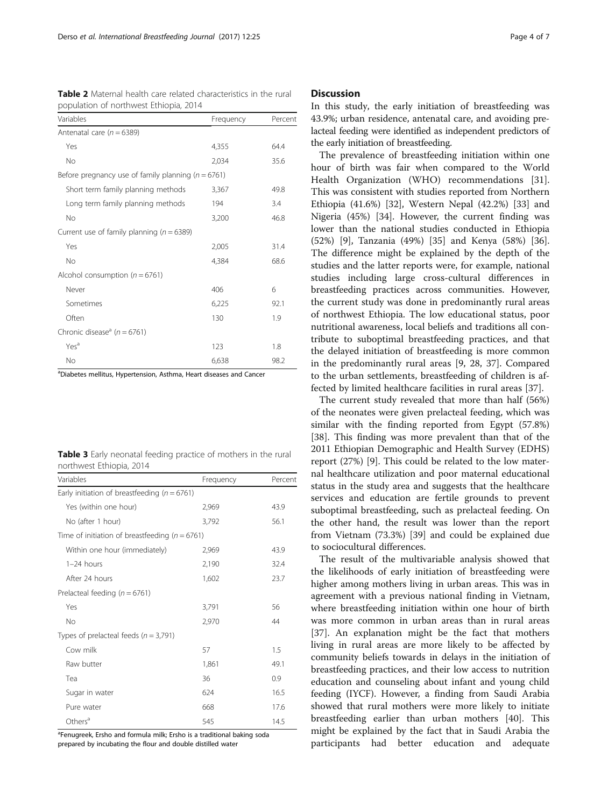| population of northwest Ethiopia, 2014                 |           |         |
|--------------------------------------------------------|-----------|---------|
| Variables                                              | Frequency | Percent |
| Antenatal care ( $n = 6389$ )                          |           |         |
| Yes                                                    | 4,355     | 64.4    |
| No                                                     | 2,034     | 35.6    |
| Before pregnancy use of family planning ( $n = 6761$ ) |           |         |
| Short term family planning methods                     | 3,367     | 49.8    |
| Long term family planning methods                      | 194       | 3.4     |
| No                                                     | 3,200     | 46.8    |
| Current use of family planning ( $n = 6389$ )          |           |         |
| Yes                                                    | 2,005     | 31.4    |
| No                                                     | 4,384     | 68.6    |
| Alcohol consumption ( $n = 6761$ )                     |           |         |
| Never                                                  | 406       | 6       |
| Sometimes                                              | 6,225     | 92.1    |
| Often                                                  | 130       | 1.9     |
| Chronic disease <sup>a</sup> ( $n = 6761$ )            |           |         |
| Yes <sup>a</sup>                                       | 123       | 1.8     |
| No                                                     | 6,638     | 98.2    |

<span id="page-4-0"></span>**Table 2** Maternal health care related characteristics in the rural<br>non-ultime of northwest Ethiopia, 2014 population of northwest Ethiopia, 2014

<sup>a</sup>Diabetes mellitus, Hypertension, Asthma, Heart diseases and Cancer

|  | <b>Table 3</b> Early neonatal feeding practice of mothers in the rural |  |  |  |  |
|--|------------------------------------------------------------------------|--|--|--|--|
|  | northwest Ethiopia, 2014                                               |  |  |  |  |

| Variables                                          | Frequency | Percent |  |
|----------------------------------------------------|-----------|---------|--|
| Early initiation of breastfeeding ( $n = 6761$ )   |           |         |  |
| Yes (within one hour)                              | 2,969     | 43.9    |  |
| No (after 1 hour)                                  | 3.792     | 56.1    |  |
| Time of initiation of breastfeeding ( $n = 6761$ ) |           |         |  |
| Within one hour (immediately)                      | 2,969     | 43.9    |  |
| $1-24$ hours                                       | 2,190     | 32.4    |  |
| After 24 hours                                     | 1,602     | 23.7    |  |
| Prelacteal feeding ( $n = 6761$ )                  |           |         |  |
| Yes                                                | 3,791     | 56      |  |
| No                                                 | 2,970     | 44      |  |
| Types of prelacteal feeds ( $n = 3,791$ )          |           |         |  |
| Cow milk                                           | 57        | 1.5     |  |
| Raw butter                                         | 1,861     | 49.1    |  |
| Tea                                                | 36        | 0.9     |  |
| Sugar in water                                     | 624       | 16.5    |  |
| Pure water                                         | 668       | 17.6    |  |
| Others <sup>a</sup>                                | 545       | 14.5    |  |

<sup>a</sup>Fenugreek, Ersho and formula milk; Ersho is a traditional baking soda prepared by incubating the flour and double distilled water

## **Discussion**

In this study, the early initiation of breastfeeding was 43.9%; urban residence, antenatal care, and avoiding prelacteal feeding were identified as independent predictors of the early initiation of breastfeeding.

The prevalence of breastfeeding initiation within one hour of birth was fair when compared to the World Health Organization (WHO) recommendations [\[31](#page-7-0)]. This was consistent with studies reported from Northern Ethiopia (41.6%) [[32\]](#page-7-0), Western Nepal (42.2%) [\[33\]](#page-7-0) and Nigeria (45%) [\[34](#page-7-0)]. However, the current finding was lower than the national studies conducted in Ethiopia (52%) [[9\]](#page-6-0), Tanzania (49%) [[35\]](#page-7-0) and Kenya (58%) [\[36](#page-7-0)]. The difference might be explained by the depth of the studies and the latter reports were, for example, national studies including large cross-cultural differences in breastfeeding practices across communities. However, the current study was done in predominantly rural areas of northwest Ethiopia. The low educational status, poor nutritional awareness, local beliefs and traditions all contribute to suboptimal breastfeeding practices, and that the delayed initiation of breastfeeding is more common in the predominantly rural areas [\[9](#page-6-0), [28](#page-7-0), [37](#page-7-0)]. Compared to the urban settlements, breastfeeding of children is affected by limited healthcare facilities in rural areas [[37\]](#page-7-0).

The current study revealed that more than half (56%) of the neonates were given prelacteal feeding, which was similar with the finding reported from Egypt (57.8%) [[38\]](#page-7-0). This finding was more prevalent than that of the 2011 Ethiopian Demographic and Health Survey (EDHS) report (27%) [\[9](#page-6-0)]. This could be related to the low maternal healthcare utilization and poor maternal educational status in the study area and suggests that the healthcare services and education are fertile grounds to prevent suboptimal breastfeeding, such as prelacteal feeding. On the other hand, the result was lower than the report from Vietnam (73.3%) [[39](#page-7-0)] and could be explained due to sociocultural differences.

The result of the multivariable analysis showed that the likelihoods of early initiation of breastfeeding were higher among mothers living in urban areas. This was in agreement with a previous national finding in Vietnam, where breastfeeding initiation within one hour of birth was more common in urban areas than in rural areas [[37\]](#page-7-0). An explanation might be the fact that mothers living in rural areas are more likely to be affected by community beliefs towards in delays in the initiation of breastfeeding practices, and their low access to nutrition education and counseling about infant and young child feeding (IYCF). However, a finding from Saudi Arabia showed that rural mothers were more likely to initiate breastfeeding earlier than urban mothers [\[40](#page-7-0)]. This might be explained by the fact that in Saudi Arabia the participants had better education and adequate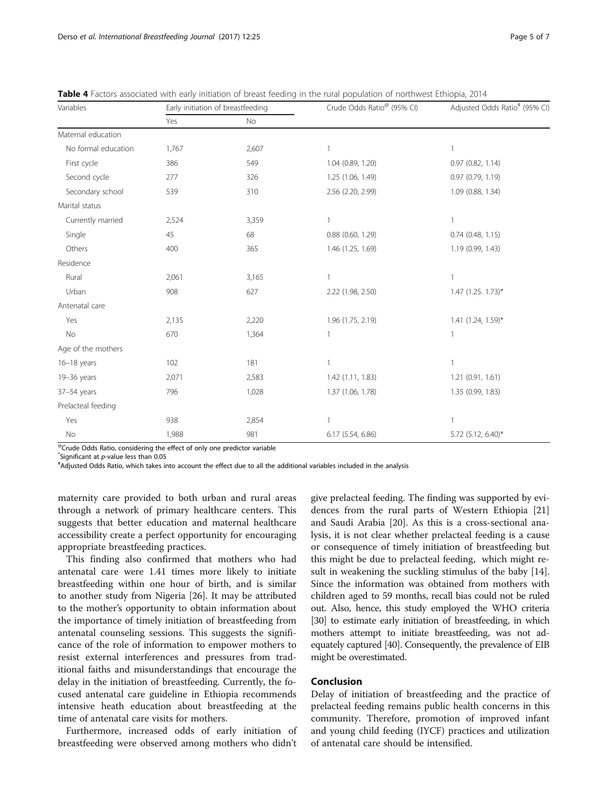| Variables           |       | Early initiation of breastfeeding | Crude Odds Ratio <sup>®</sup> (95% CI) | Adjusted Odds Ratio <sup>#</sup> (95% CI) |  |  |
|---------------------|-------|-----------------------------------|----------------------------------------|-------------------------------------------|--|--|
|                     | Yes   | No                                |                                        |                                           |  |  |
| Maternal education  |       |                                   |                                        |                                           |  |  |
| No formal education | 1,767 | 2,607                             |                                        | $\mathbf{1}$                              |  |  |
| First cycle         | 386   | 549                               | 1.04 (0.89, 1.20)                      | 0.97(0.82, 1.14)                          |  |  |
| Second cycle        | 277   | 326                               | 1.25 (1.06, 1.49)                      | 0.97 (0.79, 1.19)                         |  |  |
| Secondary school    | 539   | 310                               | 2.56 (2.20, 2.99)                      | 1.09 (0.88, 1.34)                         |  |  |
| Marital status      |       |                                   |                                        |                                           |  |  |
| Currently married   | 2,524 | 3,359                             |                                        | $\mathbf{1}$                              |  |  |
| Single              | 45    | 68                                | $0.88$ $(0.60, 1.29)$                  | $0.74$ (0.48, 1.15)                       |  |  |
| Others              | 400   | 365                               | 1.46 (1.25, 1.69)                      | 1.19 (0.99, 1.43)                         |  |  |
| Residence           |       |                                   |                                        |                                           |  |  |
| Rural               | 2,061 | 3,165                             |                                        | 1                                         |  |  |
| Urban               | 908   | 627                               | 2.22 (1.98, 2.50)                      | $1.47$ (1.25. 1.73)*                      |  |  |
| Antenatal care      |       |                                   |                                        |                                           |  |  |
| Yes                 | 2,135 | 2,220                             | 1.96 (1.75, 2.19)                      | $1.41$ (1.24, 1.59)*                      |  |  |
| No                  | 670   | 1,364                             |                                        | $\mathbf{1}$                              |  |  |
| Age of the mothers  |       |                                   |                                        |                                           |  |  |
| $16-18$ years       | 102   | 181                               |                                        | $\mathbf{1}$                              |  |  |
| 19-36 years         | 2,071 | 2,583                             | 1.42(1.11, 1.83)                       | 1.21(0.91, 1.61)                          |  |  |
| $37-54$ years       | 796   | 1,028                             | 1.37 (1.06, 1.78)                      | 1.35 (0.99, 1.83)                         |  |  |
| Prelacteal feeding  |       |                                   |                                        |                                           |  |  |
| Yes                 | 938   | 2,854                             |                                        |                                           |  |  |
| No                  | 1,988 | 981                               | 6.17 (5.54, 6.86)                      | 5.72 (5.12, 6.40)*                        |  |  |

<span id="page-5-0"></span>Table 4 Factors associated with early initiation of breast feeding in the rural population of northwest Ethiopia, 2014

@Crude Odds Ratio, considering the effect of only one predictor variable

 $*$  Significant at p-value less than 0.05

Adjusted Odds Ratio, which takes into account the effect due to all the additional variables included in the analysis

maternity care provided to both urban and rural areas through a network of primary healthcare centers. This suggests that better education and maternal healthcare accessibility create a perfect opportunity for encouraging appropriate breastfeeding practices.

This finding also confirmed that mothers who had antenatal care were 1.41 times more likely to initiate breastfeeding within one hour of birth, and is similar to another study from Nigeria [\[26](#page-7-0)]. It may be attributed to the mother's opportunity to obtain information about the importance of timely initiation of breastfeeding from antenatal counseling sessions. This suggests the significance of the role of information to empower mothers to resist external interferences and pressures from traditional faiths and misunderstandings that encourage the delay in the initiation of breastfeeding. Currently, the focused antenatal care guideline in Ethiopia recommends intensive heath education about breastfeeding at the time of antenatal care visits for mothers.

Furthermore, increased odds of early initiation of breastfeeding were observed among mothers who didn't

give prelacteal feeding. The finding was supported by evidences from the rural parts of Western Ethiopia [[21](#page-6-0)] and Saudi Arabia [[20](#page-6-0)]. As this is a cross-sectional analysis, it is not clear whether prelacteal feeding is a cause or consequence of timely initiation of breastfeeding but this might be due to prelacteal feeding, which might result in weakening the suckling stimulus of the baby [\[14](#page-6-0)]. Since the information was obtained from mothers with children aged to 59 months, recall bias could not be ruled out. Also, hence, this study employed the WHO criteria [[30](#page-7-0)] to estimate early initiation of breastfeeding, in which mothers attempt to initiate breastfeeding, was not adequately captured [[40](#page-7-0)]. Consequently, the prevalence of EIB might be overestimated.

#### Conclusion

Delay of initiation of breastfeeding and the practice of prelacteal feeding remains public health concerns in this community. Therefore, promotion of improved infant and young child feeding (IYCF) practices and utilization of antenatal care should be intensified.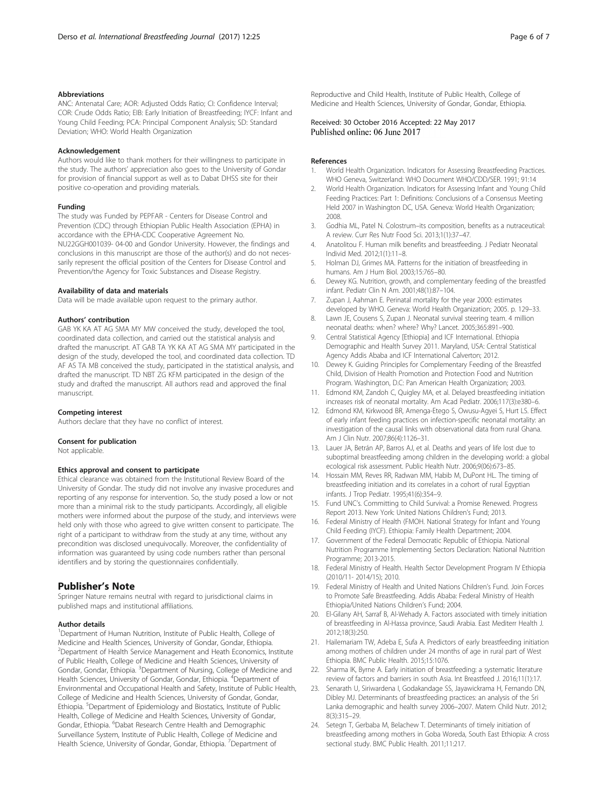#### <span id="page-6-0"></span>Abbreviations

ANC: Antenatal Care; AOR: Adjusted Odds Ratio; CI: Confidence Interval; COR: Crude Odds Ratio; EIB: Early Initiation of Breastfeeding; IYCF: Infant and Young Child Feeding; PCA: Principal Component Analysis; SD: Standard Deviation; WHO: World Health Organization

#### Acknowledgement

Authors would like to thank mothers for their willingness to participate in the study. The authors' appreciation also goes to the University of Gondar for provision of financial support as well as to Dabat DHSS site for their positive co-operation and providing materials.

#### Funding

The study was Funded by PEPFAR - Centers for Disease Control and Prevention (CDC) through Ethiopian Public Health Association (EPHA) in accordance with the EPHA-CDC Cooperative Agreement No. NU22GGH001039- 04-00 and Gondor University. However, the findings and conclusions in this manuscript are those of the author(s) and do not necessarily represent the official position of the Centers for Disease Control and Prevention/the Agency for Toxic Substances and Disease Registry.

#### Availability of data and materials

Data will be made available upon request to the primary author.

#### Authors' contribution

GAB YK KA AT AG SMA MY MW conceived the study, developed the tool, coordinated data collection, and carried out the statistical analysis and drafted the manuscript. AT GAB TA YK KA AT AG SMA MY participated in the design of the study, developed the tool, and coordinated data collection. TD AF AS TA MB conceived the study, participated in the statistical analysis, and drafted the manuscript. TD NBT ZG KFM participated in the design of the study and drafted the manuscript. All authors read and approved the final manuscript.

#### Competing interest

Authors declare that they have no conflict of interest.

#### Consent for publication

Not applicable.

#### Ethics approval and consent to participate

Ethical clearance was obtained from the Institutional Review Board of the University of Gondar. The study did not involve any invasive procedures and reporting of any response for intervention. So, the study posed a low or not more than a minimal risk to the study participants. Accordingly, all eligible mothers were informed about the purpose of the study, and interviews were held only with those who agreed to give written consent to participate. The right of a participant to withdraw from the study at any time, without any precondition was disclosed unequivocally. Moreover, the confidentiality of information was guaranteed by using code numbers rather than personal identifiers and by storing the questionnaires confidentially.

## Publisher's Note

Springer Nature remains neutral with regard to jurisdictional claims in published maps and institutional affiliations.

#### Author details

<sup>1</sup>Department of Human Nutrition, Institute of Public Health, College of Medicine and Health Sciences, University of Gondar, Gondar, Ethiopia. <sup>2</sup>Department of Health Service Management and Heath Economics, Institute of Public Health, College of Medicine and Health Sciences, University of Gondar, Gondar, Ethiopia. <sup>3</sup>Department of Nursing, College of Medicine and Health Sciences, University of Gondar, Gondar, Ethiopia. <sup>4</sup>Department of Environmental and Occupational Health and Safety, Institute of Public Health, College of Medicine and Health Sciences, University of Gondar, Gondar, Ethiopia. <sup>5</sup>Department of Epidemiology and Biostatics, Institute of Public Health, College of Medicine and Health Sciences, University of Gondar, Gondar, Ethiopia. <sup>6</sup>Dabat Research Centre Health and Demographic Surveillance System, Institute of Public Health, College of Medicine and Health Science, University of Gondar, Gondar, Ethiopia. <sup>7</sup>Department of

#### Received: 30 October 2016 Accepted: 22 May 2017 Published online: 06 June 2017

#### References

- 1. World Health Organization. Indicators for Assessing Breastfeeding Practices. WHO Geneva, Switzerland: WHO Document WHO/CDD/SER. 1991; 91:14
- 2. World Health Organization. Indicators for Assessing Infant and Young Child Feeding Practices: Part 1: Definitions: Conclusions of a Consensus Meeting Held 2007 in Washington DC, USA. Geneva: World Health Organization; 2008.
- 3. Godhia ML, Patel N. Colostrum–its composition, benefits as a nutraceutical: A review. Curr Res Nutr Food Sci. 2013;1(1):37–47.
- 4. Anatolitou F. Human milk benefits and breastfeeding. J Pediatr Neonatal Individ Med. 2012;1(1):11–8.
- 5. Holman DJ, Grimes MA. Patterns for the initiation of breastfeeding in humans. Am J Hum Biol. 2003;15:765–80.
- 6. Dewey KG. Nutrition, growth, and complementary feeding of the breastfed infant. Pediatr Clin N Am. 2001;48(1):87–104.
- 7. Zupan J, Aahman E. Perinatal mortality for the year 2000: estimates developed by WHO. Geneva: World Health Organization; 2005. p. 129–33.
- 8. Lawn JE, Cousens S, Zupan J. Neonatal survival steering team. 4 million neonatal deaths: when? where? Why? Lancet. 2005;365:891–900.
- 9. Central Statistical Agency [Ethiopia] and ICF International. Ethiopia Demographic and Health Survey 2011. Maryland, USA: Central Statistical Agency Addis Ababa and ICF International Calverton; 2012.
- 10. Dewey K. Guiding Principles for Complementary Feeding of the Breastfed Child, Division of Health Promotion and Protection Food and Nutrition Program. Washington, D.C: Pan American Health Organization; 2003.
- 11. Edmond KM, Zandoh C, Quigley MA, et al. Delayed breastfeeding initiation increases risk of neonatal mortality. Am Acad Pediatr. 2006;117(3):e380–6.
- 12. Edmond KM, Kirkwood BR, Amenga-Etego S, Owusu-Agyei S, Hurt LS. Effect of early infant feeding practices on infection-specific neonatal mortality: an investigation of the causal links with observational data from rural Ghana. Am J Clin Nutr. 2007;86(4):1126–31.
- 13. Lauer JA, Betrán AP, Barros AJ, et al. Deaths and years of life lost due to suboptimal breastfeeding among children in the developing world: a global ecological risk assessment. Public Health Nutr. 2006;9(06):673–85.
- 14. Hossain MM, Reves RR, Radwan MM, Habib M, DuPont HL. The timing of breastfeeding initiation and its correlates in a cohort of rural Egyptian infants. J Trop Pediatr. 1995;41(6):354–9.
- 15. Fund UNC's. Committing to Child Survival: a Promise Renewed. Progress Report 2013. New York: United Nations Children's Fund; 2013.
- 16. Federal Ministry of Health (FMOH. National Strategy for Infant and Young Child Feeding (IYCF). Ethiopia: Family Health Department; 2004.
- 17. Government of the Federal Democratic Republic of Ethiopia. National Nutrition Programme Implementing Sectors Declaration: National Nutrition Programme; 2013-2015.
- 18. Federal Ministry of Health. Health Sector Development Program IV Ethiopia (2010/11- 2014/15); 2010.
- 19. Federal Ministry of Health and United Nations Children's Fund. Join Forces to Promote Safe Breastfeeding. Addis Ababa: Federal Ministry of Health Ethiopia/United Nations Children's Fund; 2004.
- 20. El-Gilany AH, Sarraf B, Al-Wehady A. Factors associated with timely initiation of breastfeeding in Al-Hassa province, Saudi Arabia. East Mediterr Health J. 2012;18(3):250.
- 21. Hailemariam TW, Adeba E, Sufa A. Predictors of early breastfeeding initiation among mothers of children under 24 months of age in rural part of West Ethiopia. BMC Public Health. 2015;15:1076.
- 22. Sharma IK, Byrne A. Early initiation of breastfeeding: a systematic literature review of factors and barriers in south Asia. Int Breastfeed J. 2016;11(1):17.
- 23. Senarath U, Siriwardena I, Godakandage SS, Jayawickrama H, Fernando DN, Dibley MJ. Determinants of breastfeeding practices: an analysis of the Sri Lanka demographic and health survey 2006–2007. Matern Child Nutr. 2012; 8(3):315–29.
- 24. Setegn T, Gerbaba M, Belachew T. Determinants of timely initiation of breastfeeding among mothers in Goba Woreda, South East Ethiopia: A cross sectional study. BMC Public Health. 2011;11:217.